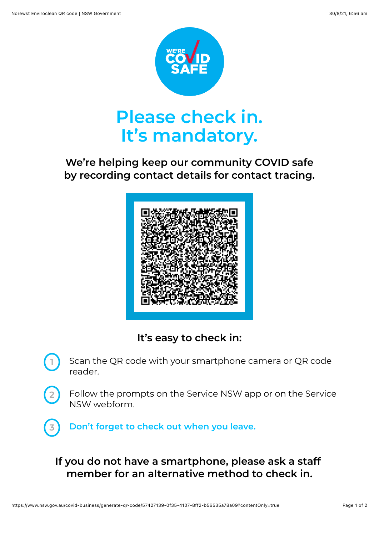**2**



## **We're helping keep our community COVID safe by recording contact details for contact tracing.**



**It's easy to check in:**

- Scan the QR code with your smartphone camera or QR code reader. **1**
	- Follow the prompts on the Service NSW app or on the Service NSW webform.

**3 Don't forget to check out when you leave.**

## **If you do not have a smartphone, please ask a staff member for an alternative method to check in.**